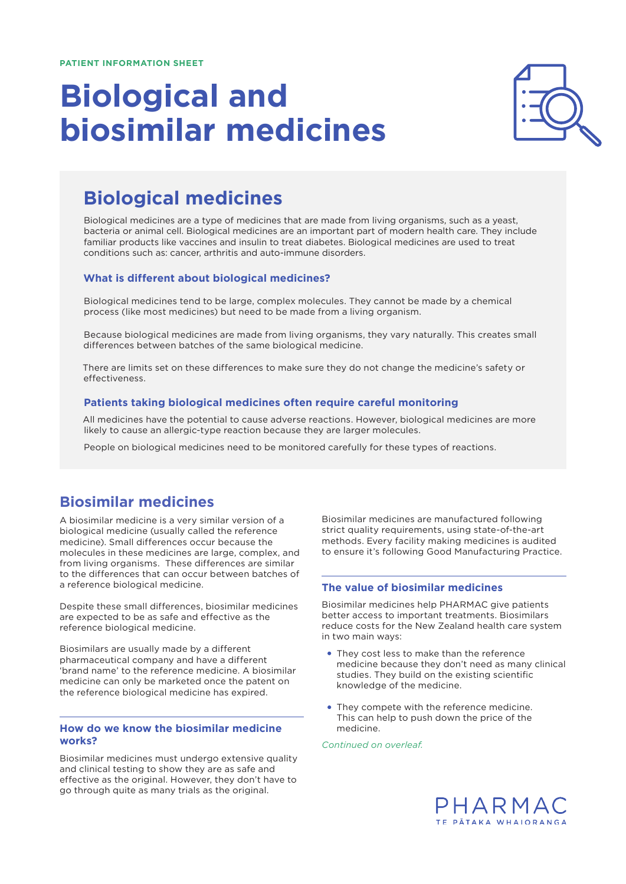# **Biological and biosimilar medicines**



# **Biological medicines**

Biological medicines are a type of medicines that are made from living organisms, such as a yeast, bacteria or animal cell. Biological medicines are an important part of modern health care. They include familiar products like vaccines and insulin to treat diabetes. Biological medicines are used to treat conditions such as: cancer, arthritis and auto-immune disorders.

#### **What is different about biological medicines?**

Biological medicines tend to be large, complex molecules. They cannot be made by a chemical process (like most medicines) but need to be made from a living organism.

Because biological medicines are made from living organisms, they vary naturally. This creates small differences between batches of the same biological medicine.

There are limits set on these differences to make sure they do not change the medicine's safety or effectiveness.

#### **Patients taking biological medicines often require careful monitoring**

All medicines have the potential to cause adverse reactions. However, biological medicines are more likely to cause an allergic-type reaction because they are larger molecules.

People on biological medicines need to be monitored carefully for these types of reactions.

## **Biosimilar medicines**

A biosimilar medicine is a very similar version of a biological medicine (usually called the reference medicine). Small differences occur because the molecules in these medicines are large, complex, and from living organisms. These differences are similar to the differences that can occur between batches of a reference biological medicine.

Despite these small differences, biosimilar medicines are expected to be as safe and effective as the reference biological medicine.

Biosimilars are usually made by a different pharmaceutical company and have a different 'brand name' to the reference medicine. A biosimilar medicine can only be marketed once the patent on the reference biological medicine has expired.

#### **How do we know the biosimilar medicine works?**

Biosimilar medicines must undergo extensive quality and clinical testing to show they are as safe and effective as the original. However, they don't have to go through quite as many trials as the original.

Biosimilar medicines are manufactured following strict quality requirements, using state-of-the-art methods. Every facility making medicines is audited to ensure it's following Good Manufacturing Practice.

#### **The value of biosimilar medicines**

Biosimilar medicines help PHARMAC give patients better access to important treatments. Biosimilars reduce costs for the New Zealand health care system in two main ways:

- They cost less to make than the reference medicine because they don't need as many clinical studies. They build on the existing scientific knowledge of the medicine.
- They compete with the reference medicine. This can help to push down the price of the medicine.

*Continued on overleaf.*